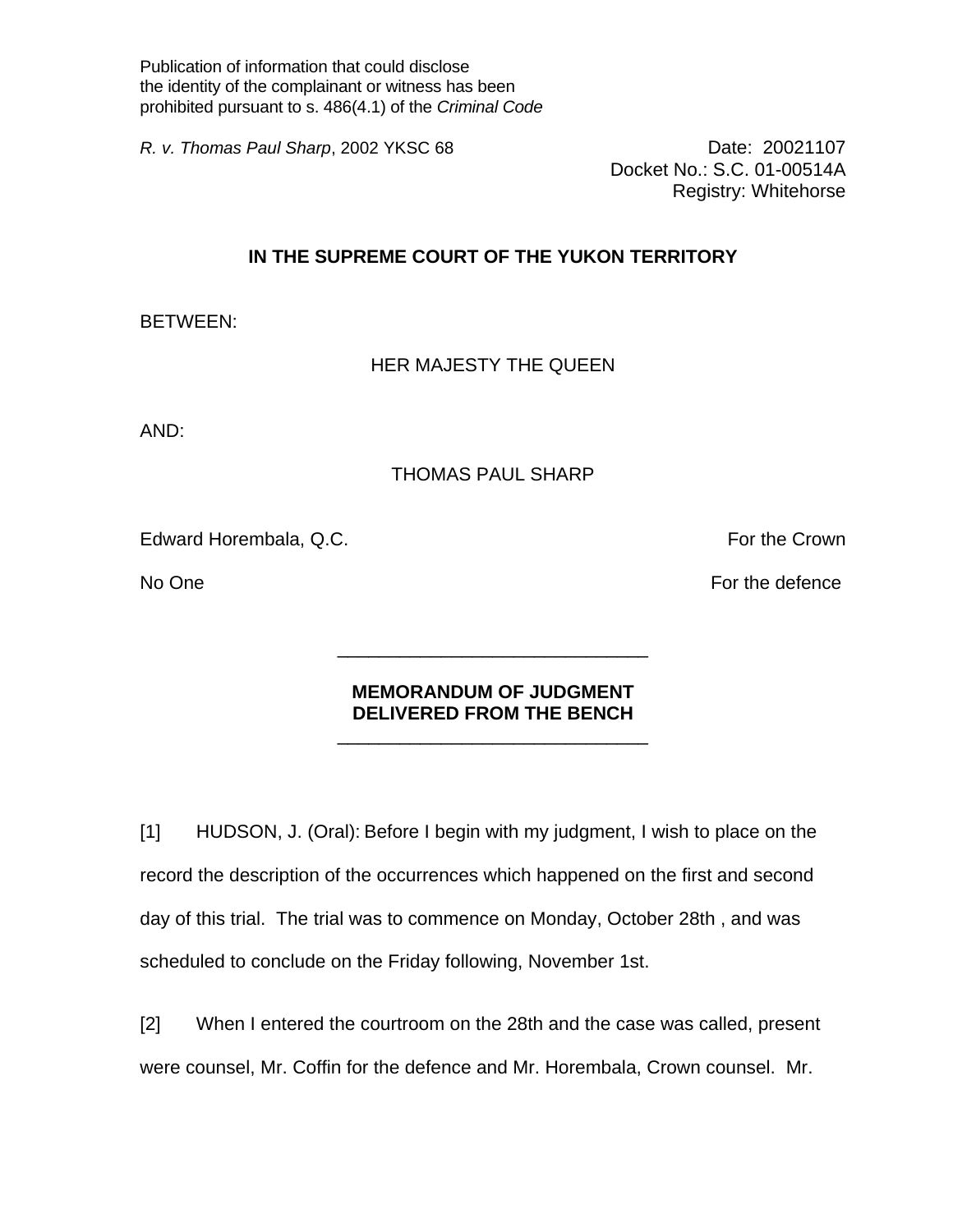Publication of information that could disclose the identity of the complainant or witness has been prohibited pursuant to s. 486(4.1) of the *Criminal Code* 

*R. v. Thomas Paul Sharp*, 2002 YKSC 68 **Date: 20021107** 

Docket No.: S.C. 01-00514A Registry: Whitehorse

## **IN THE SUPREME COURT OF THE YUKON TERRITORY**

BETWEEN:

HER MAJESTY THE QUEEN

AND:

## THOMAS PAUL SHARP

Edward Horembala, Q.C. **For the Crown** 

No One For the defence  $\overline{F}$  and  $\overline{F}$  and  $\overline{F}$  are For the defence

## **MEMORANDUM OF JUDGMENT DELIVERED FROM THE BENCH**

 $\frac{1}{\sqrt{2}}$  ,  $\frac{1}{\sqrt{2}}$  ,  $\frac{1}{\sqrt{2}}$  ,  $\frac{1}{\sqrt{2}}$  ,  $\frac{1}{\sqrt{2}}$  ,  $\frac{1}{\sqrt{2}}$  ,  $\frac{1}{\sqrt{2}}$  ,  $\frac{1}{\sqrt{2}}$  ,  $\frac{1}{\sqrt{2}}$  ,  $\frac{1}{\sqrt{2}}$  ,  $\frac{1}{\sqrt{2}}$  ,  $\frac{1}{\sqrt{2}}$  ,  $\frac{1}{\sqrt{2}}$  ,  $\frac{1}{\sqrt{2}}$  ,  $\frac{1}{\sqrt{2}}$ 

 $\frac{1}{\sqrt{2}}$  ,  $\frac{1}{\sqrt{2}}$  ,  $\frac{1}{\sqrt{2}}$  ,  $\frac{1}{\sqrt{2}}$  ,  $\frac{1}{\sqrt{2}}$  ,  $\frac{1}{\sqrt{2}}$  ,  $\frac{1}{\sqrt{2}}$  ,  $\frac{1}{\sqrt{2}}$  ,  $\frac{1}{\sqrt{2}}$  ,  $\frac{1}{\sqrt{2}}$  ,  $\frac{1}{\sqrt{2}}$  ,  $\frac{1}{\sqrt{2}}$  ,  $\frac{1}{\sqrt{2}}$  ,  $\frac{1}{\sqrt{2}}$  ,  $\frac{1}{\sqrt{2}}$ 

[1] HUDSON, J. (Oral): Before I begin with my judgment, I wish to place on the record the description of the occurrences which happened on the first and second day of this trial. The trial was to commence on Monday, October 28th , and was scheduled to conclude on the Friday following, November 1st.

[2] When I entered the courtroom on the 28th and the case was called, present were counsel, Mr. Coffin for the defence and Mr. Horembala, Crown counsel. Mr.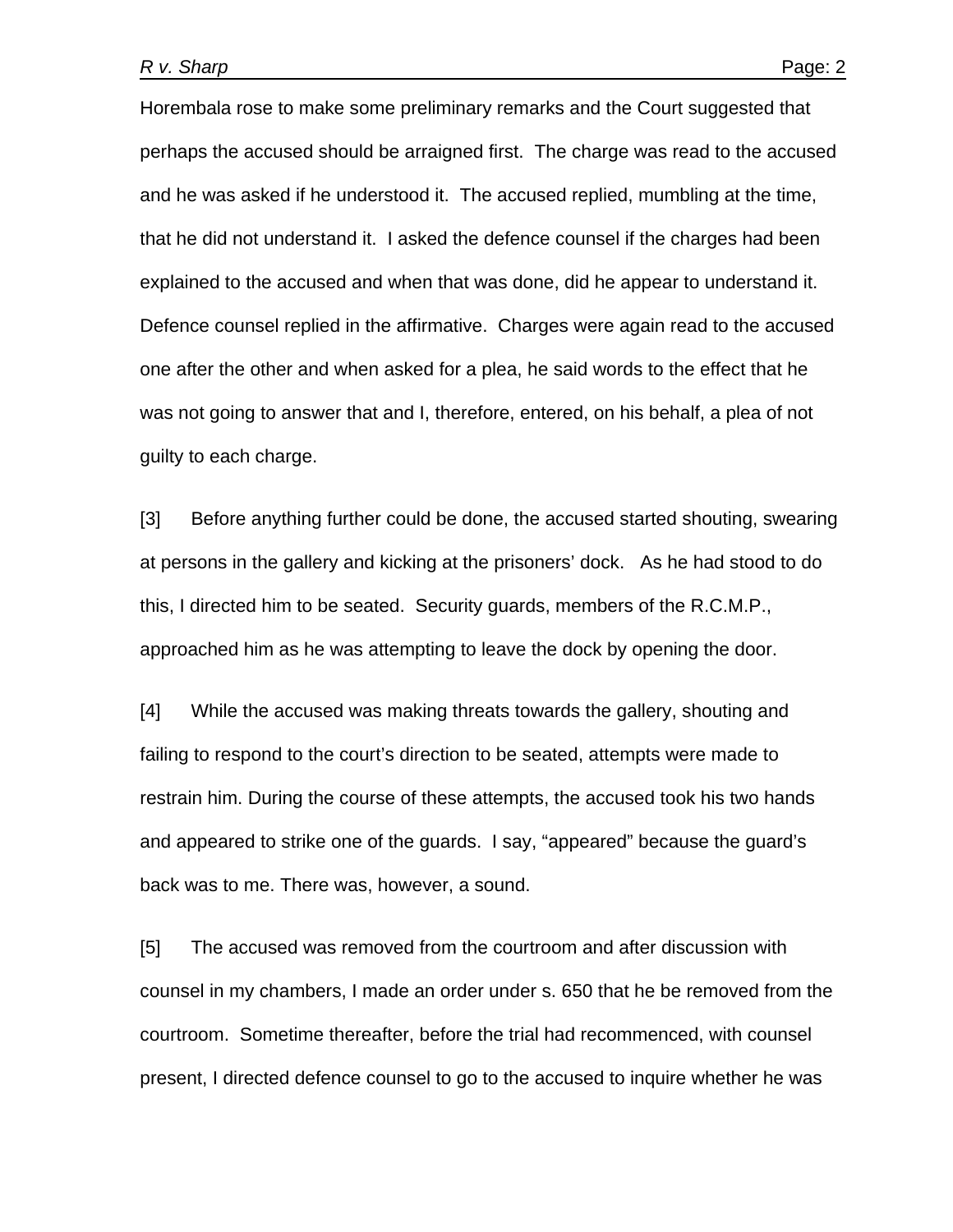Horembala rose to make some preliminary remarks and the Court suggested that perhaps the accused should be arraigned first. The charge was read to the accused and he was asked if he understood it. The accused replied, mumbling at the time, that he did not understand it. I asked the defence counsel if the charges had been explained to the accused and when that was done, did he appear to understand it. Defence counsel replied in the affirmative. Charges were again read to the accused one after the other and when asked for a plea, he said words to the effect that he was not going to answer that and I, therefore, entered, on his behalf, a plea of not guilty to each charge.

[3] Before anything further could be done, the accused started shouting, swearing at persons in the gallery and kicking at the prisoners' dock. As he had stood to do this, I directed him to be seated. Security guards, members of the R.C.M.P., approached him as he was attempting to leave the dock by opening the door.

[4] While the accused was making threats towards the gallery, shouting and failing to respond to the court's direction to be seated, attempts were made to restrain him. During the course of these attempts, the accused took his two hands and appeared to strike one of the guards. I say, "appeared" because the guard's back was to me. There was, however, a sound.

[5] The accused was removed from the courtroom and after discussion with counsel in my chambers, I made an order under s. 650 that he be removed from the courtroom. Sometime thereafter, before the trial had recommenced, with counsel present, I directed defence counsel to go to the accused to inquire whether he was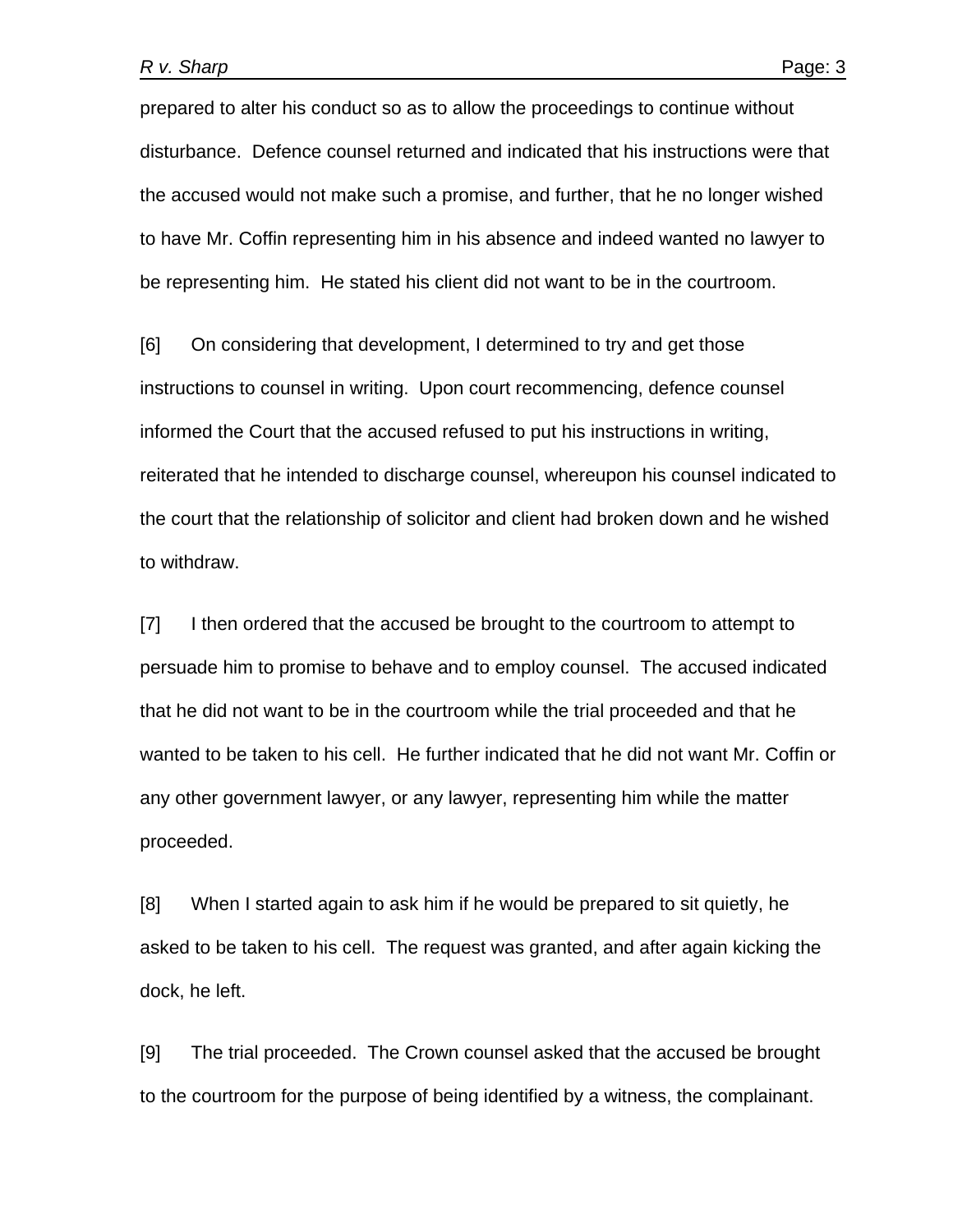prepared to alter his conduct so as to allow the proceedings to continue without disturbance. Defence counsel returned and indicated that his instructions were that the accused would not make such a promise, and further, that he no longer wished to have Mr. Coffin representing him in his absence and indeed wanted no lawyer to be representing him. He stated his client did not want to be in the courtroom.

[6] On considering that development, I determined to try and get those instructions to counsel in writing. Upon court recommencing, defence counsel informed the Court that the accused refused to put his instructions in writing, reiterated that he intended to discharge counsel, whereupon his counsel indicated to the court that the relationship of solicitor and client had broken down and he wished to withdraw.

[7] I then ordered that the accused be brought to the courtroom to attempt to persuade him to promise to behave and to employ counsel. The accused indicated that he did not want to be in the courtroom while the trial proceeded and that he wanted to be taken to his cell. He further indicated that he did not want Mr. Coffin or any other government lawyer, or any lawyer, representing him while the matter proceeded.

[8] When I started again to ask him if he would be prepared to sit quietly, he asked to be taken to his cell. The request was granted, and after again kicking the dock, he left.

[9] The trial proceeded. The Crown counsel asked that the accused be brought to the courtroom for the purpose of being identified by a witness, the complainant.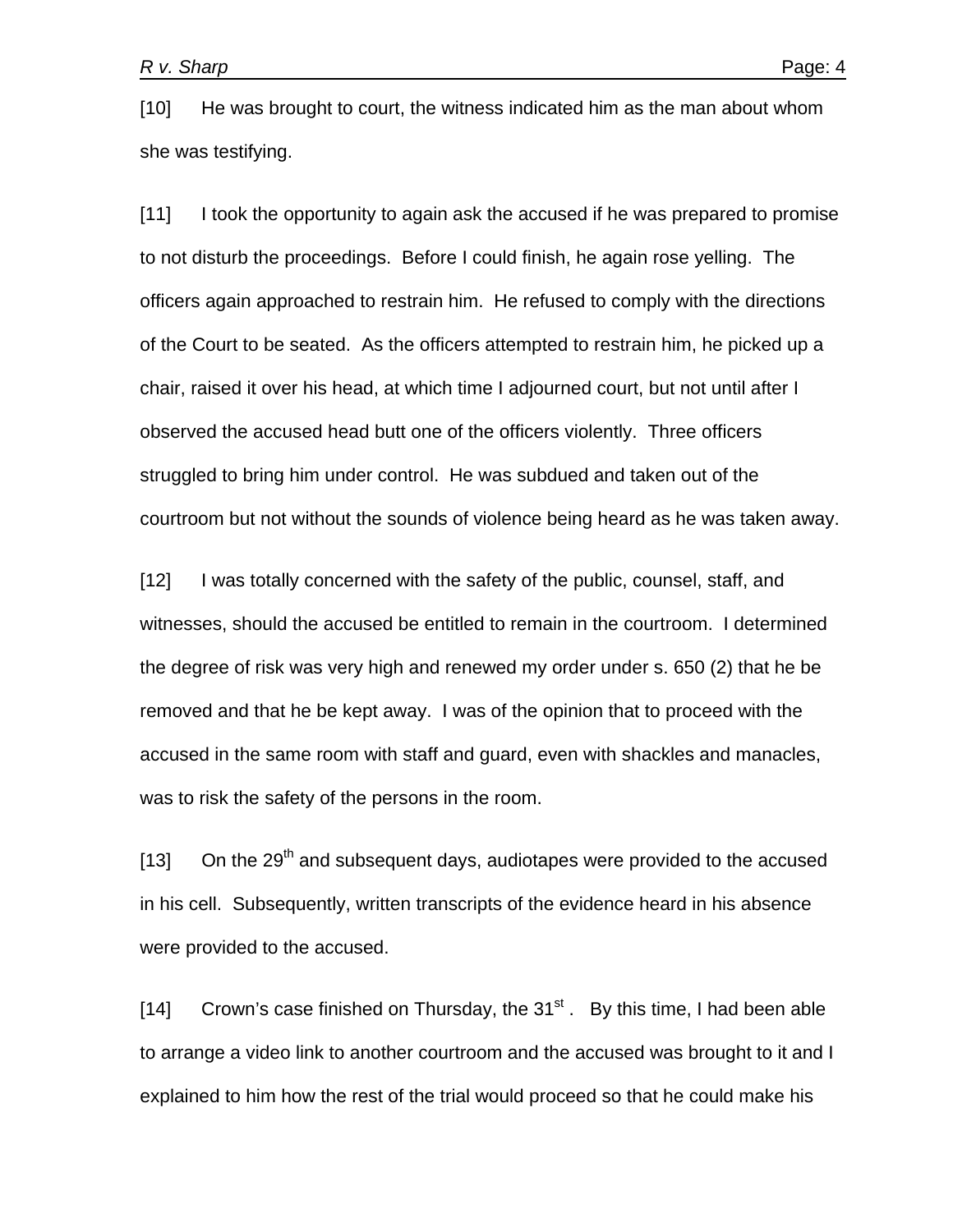[10] He was brought to court, the witness indicated him as the man about whom she was testifying.

[11] I took the opportunity to again ask the accused if he was prepared to promise to not disturb the proceedings. Before I could finish, he again rose yelling. The officers again approached to restrain him. He refused to comply with the directions of the Court to be seated. As the officers attempted to restrain him, he picked up a chair, raised it over his head, at which time I adjourned court, but not until after I observed the accused head butt one of the officers violently. Three officers struggled to bring him under control. He was subdued and taken out of the courtroom but not without the sounds of violence being heard as he was taken away.

[12] I was totally concerned with the safety of the public, counsel, staff, and witnesses, should the accused be entitled to remain in the courtroom. I determined the degree of risk was very high and renewed my order under s. 650 (2) that he be removed and that he be kept away. I was of the opinion that to proceed with the accused in the same room with staff and guard, even with shackles and manacles, was to risk the safety of the persons in the room.

 $[13]$  On the 29<sup>th</sup> and subsequent days, audiotapes were provided to the accused in his cell. Subsequently, written transcripts of the evidence heard in his absence were provided to the accused.

[14] Crown's case finished on Thursday, the  $31<sup>st</sup>$ . By this time, I had been able to arrange a video link to another courtroom and the accused was brought to it and I explained to him how the rest of the trial would proceed so that he could make his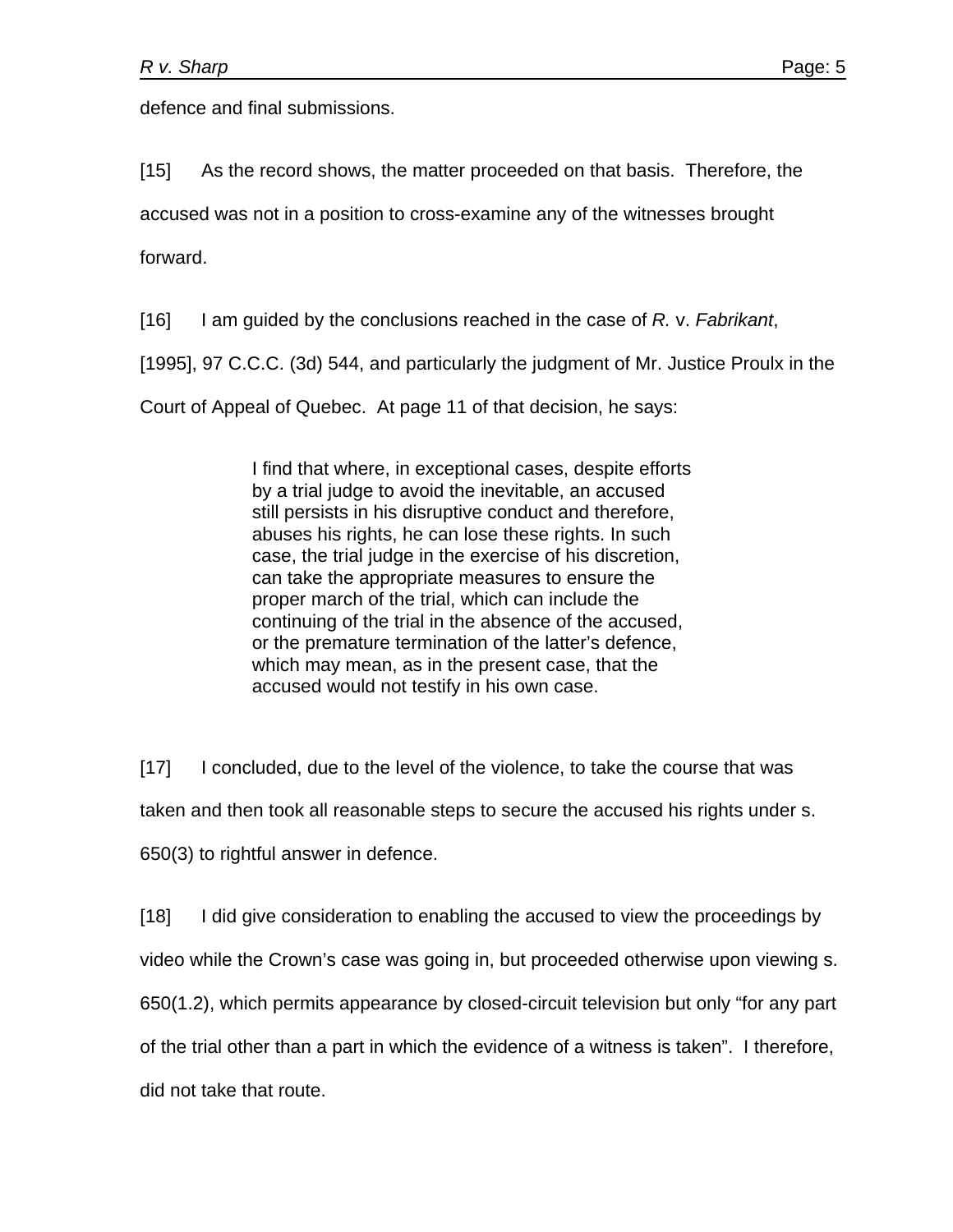defence and final submissions.

[15] As the record shows, the matter proceeded on that basis. Therefore, the

accused was not in a position to cross-examine any of the witnesses brought

forward.

[16] I am guided by the conclusions reached in the case of *R.* v. *Fabrikant*,

[1995], 97 C.C.C. (3d) 544, and particularly the judgment of Mr. Justice Proulx in the

Court of Appeal of Quebec. At page 11 of that decision, he says:

I find that where, in exceptional cases, despite efforts by a trial judge to avoid the inevitable, an accused still persists in his disruptive conduct and therefore, abuses his rights, he can lose these rights. In such case, the trial judge in the exercise of his discretion, can take the appropriate measures to ensure the proper march of the trial, which can include the continuing of the trial in the absence of the accused, or the premature termination of the latter's defence, which may mean, as in the present case, that the accused would not testify in his own case.

[17] I concluded, due to the level of the violence, to take the course that was

taken and then took all reasonable steps to secure the accused his rights under s.

650(3) to rightful answer in defence.

[18] I did give consideration to enabling the accused to view the proceedings by

video while the Crown's case was going in, but proceeded otherwise upon viewing s.

650(1.2), which permits appearance by closed-circuit television but only "for any part

of the trial other than a part in which the evidence of a witness is taken". I therefore,

did not take that route.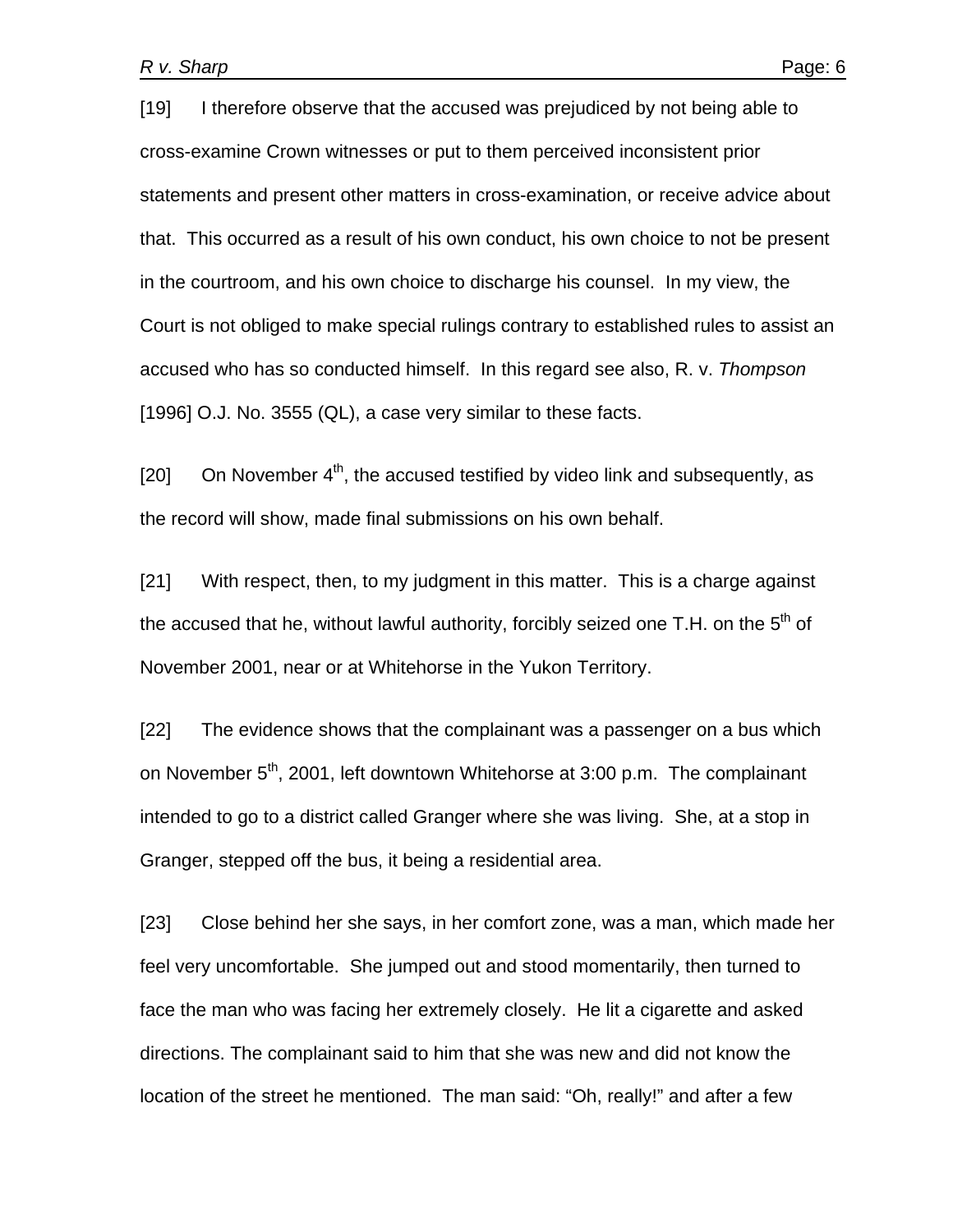[19] I therefore observe that the accused was prejudiced by not being able to cross-examine Crown witnesses or put to them perceived inconsistent prior statements and present other matters in cross-examination, or receive advice about that. This occurred as a result of his own conduct, his own choice to not be present in the courtroom, and his own choice to discharge his counsel. In my view, the Court is not obliged to make special rulings contrary to established rules to assist an accused who has so conducted himself. In this regard see also, R. v. *Thompson*  [1996] O.J. No. 3555 (QL), a case very similar to these facts.

[20] On November  $4<sup>th</sup>$ , the accused testified by video link and subsequently, as the record will show, made final submissions on his own behalf.

[21] With respect, then, to my judgment in this matter. This is a charge against the accused that he, without lawful authority, forcibly seized one T.H. on the  $5<sup>th</sup>$  of November 2001, near or at Whitehorse in the Yukon Territory.

[22] The evidence shows that the complainant was a passenger on a bus which on November 5<sup>th</sup>, 2001, left downtown Whitehorse at 3:00 p.m. The complainant intended to go to a district called Granger where she was living. She, at a stop in Granger, stepped off the bus, it being a residential area.

[23] Close behind her she says, in her comfort zone, was a man, which made her feel very uncomfortable. She jumped out and stood momentarily, then turned to face the man who was facing her extremely closely. He lit a cigarette and asked directions. The complainant said to him that she was new and did not know the location of the street he mentioned. The man said: "Oh, really!" and after a few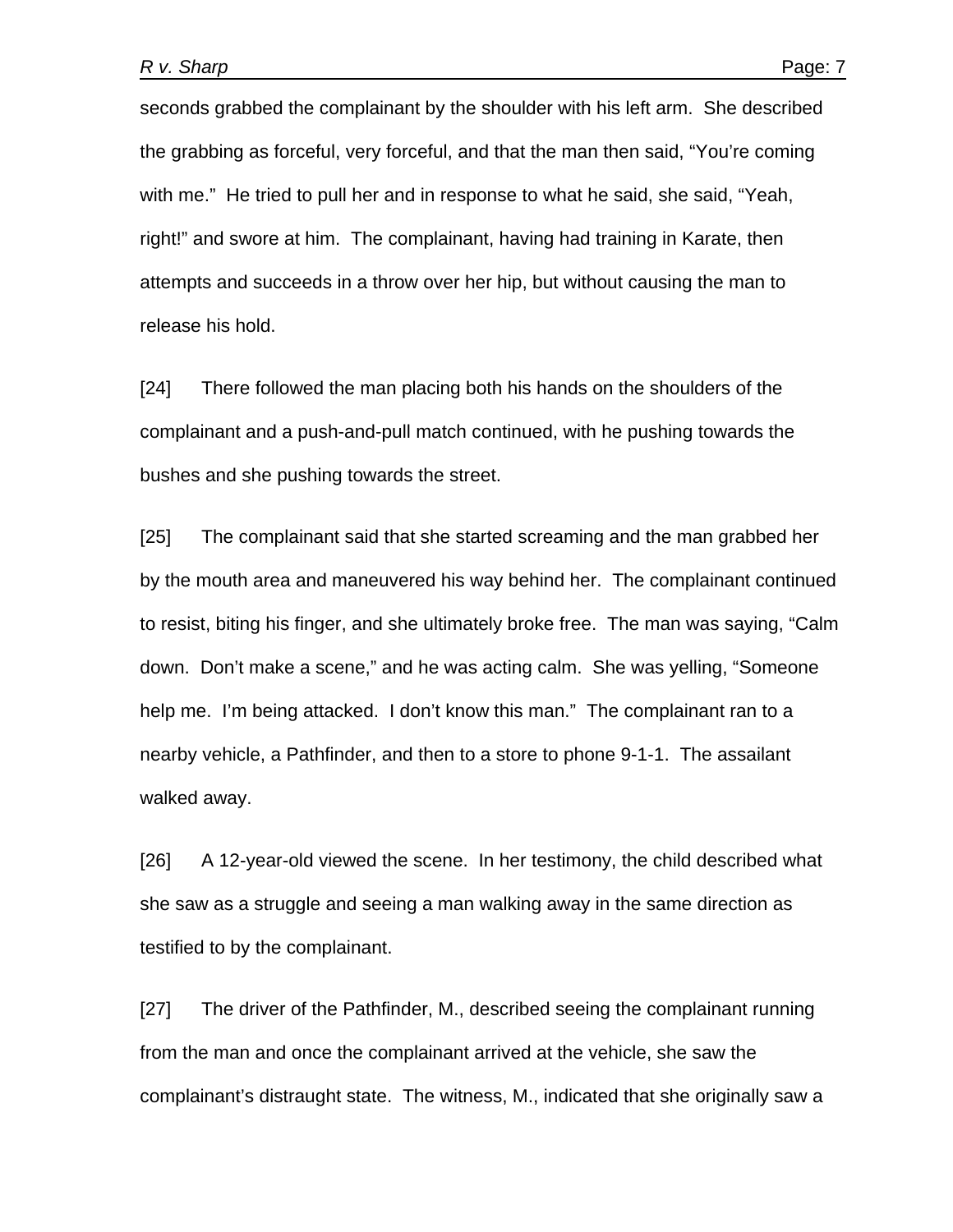seconds grabbed the complainant by the shoulder with his left arm. She described the grabbing as forceful, very forceful, and that the man then said, "You're coming with me." He tried to pull her and in response to what he said, she said, "Yeah, right!" and swore at him. The complainant, having had training in Karate, then attempts and succeeds in a throw over her hip, but without causing the man to release his hold.

[24] There followed the man placing both his hands on the shoulders of the complainant and a push-and-pull match continued, with he pushing towards the bushes and she pushing towards the street.

[25] The complainant said that she started screaming and the man grabbed her by the mouth area and maneuvered his way behind her. The complainant continued to resist, biting his finger, and she ultimately broke free. The man was saying, "Calm down. Don't make a scene," and he was acting calm. She was yelling, "Someone help me. I'm being attacked. I don't know this man." The complainant ran to a nearby vehicle, a Pathfinder, and then to a store to phone 9-1-1. The assailant walked away.

[26] A 12-year-old viewed the scene. In her testimony, the child described what she saw as a struggle and seeing a man walking away in the same direction as testified to by the complainant.

[27] The driver of the Pathfinder, M., described seeing the complainant running from the man and once the complainant arrived at the vehicle, she saw the complainant's distraught state. The witness, M., indicated that she originally saw a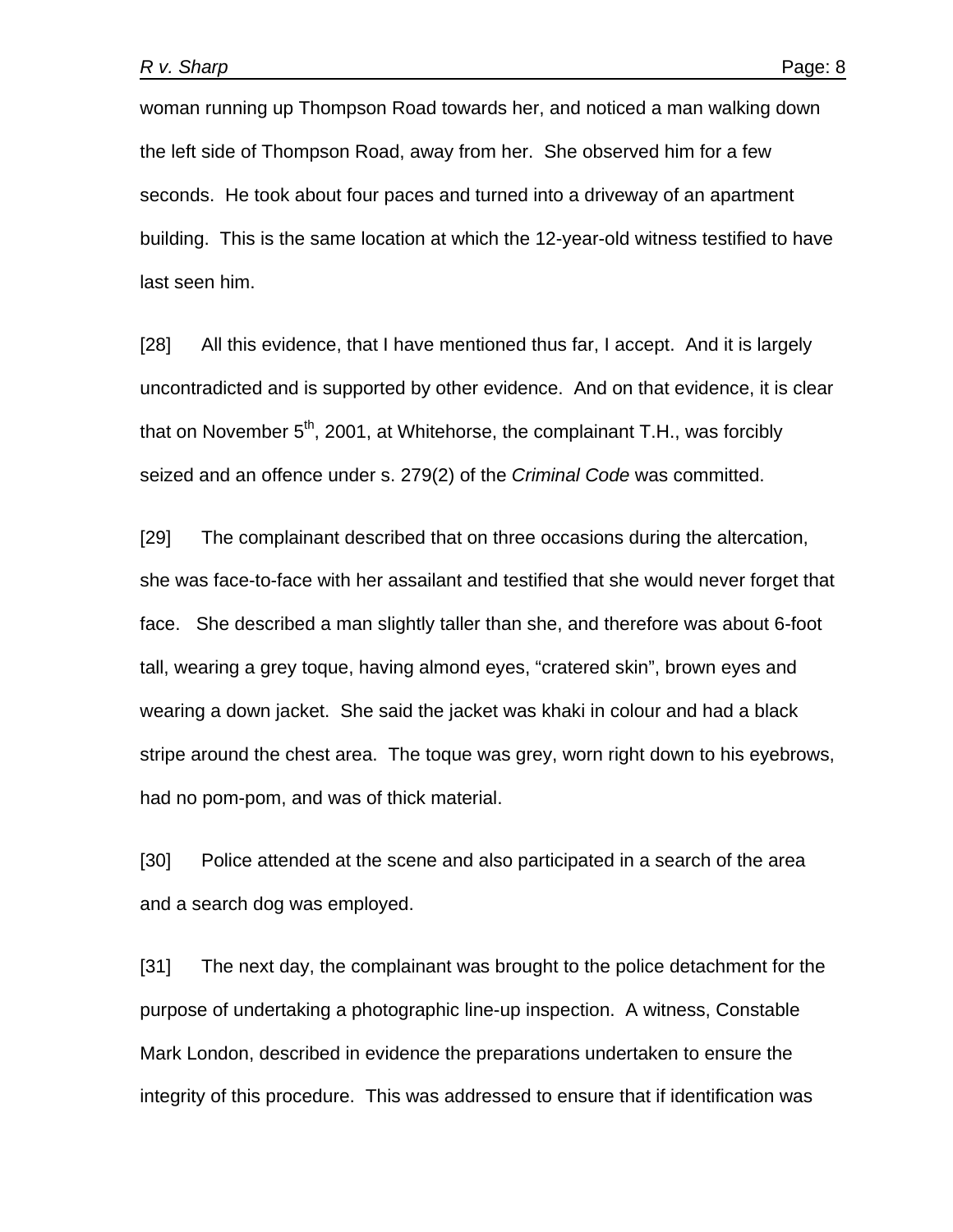woman running up Thompson Road towards her, and noticed a man walking down the left side of Thompson Road, away from her. She observed him for a few seconds. He took about four paces and turned into a driveway of an apartment building. This is the same location at which the 12-year-old witness testified to have last seen him.

[28] All this evidence, that I have mentioned thus far, I accept. And it is largely uncontradicted and is supported by other evidence. And on that evidence, it is clear that on November  $5<sup>th</sup>$ , 2001, at Whitehorse, the complainant T.H., was forcibly seized and an offence under s. 279(2) of the *Criminal Code* was committed.

[29] The complainant described that on three occasions during the altercation, she was face-to-face with her assailant and testified that she would never forget that face. She described a man slightly taller than she, and therefore was about 6-foot tall, wearing a grey toque, having almond eyes, "cratered skin", brown eyes and wearing a down jacket. She said the jacket was khaki in colour and had a black stripe around the chest area. The toque was grey, worn right down to his eyebrows, had no pom-pom, and was of thick material.

[30] Police attended at the scene and also participated in a search of the area and a search dog was employed.

[31] The next day, the complainant was brought to the police detachment for the purpose of undertaking a photographic line-up inspection. A witness, Constable Mark London, described in evidence the preparations undertaken to ensure the integrity of this procedure. This was addressed to ensure that if identification was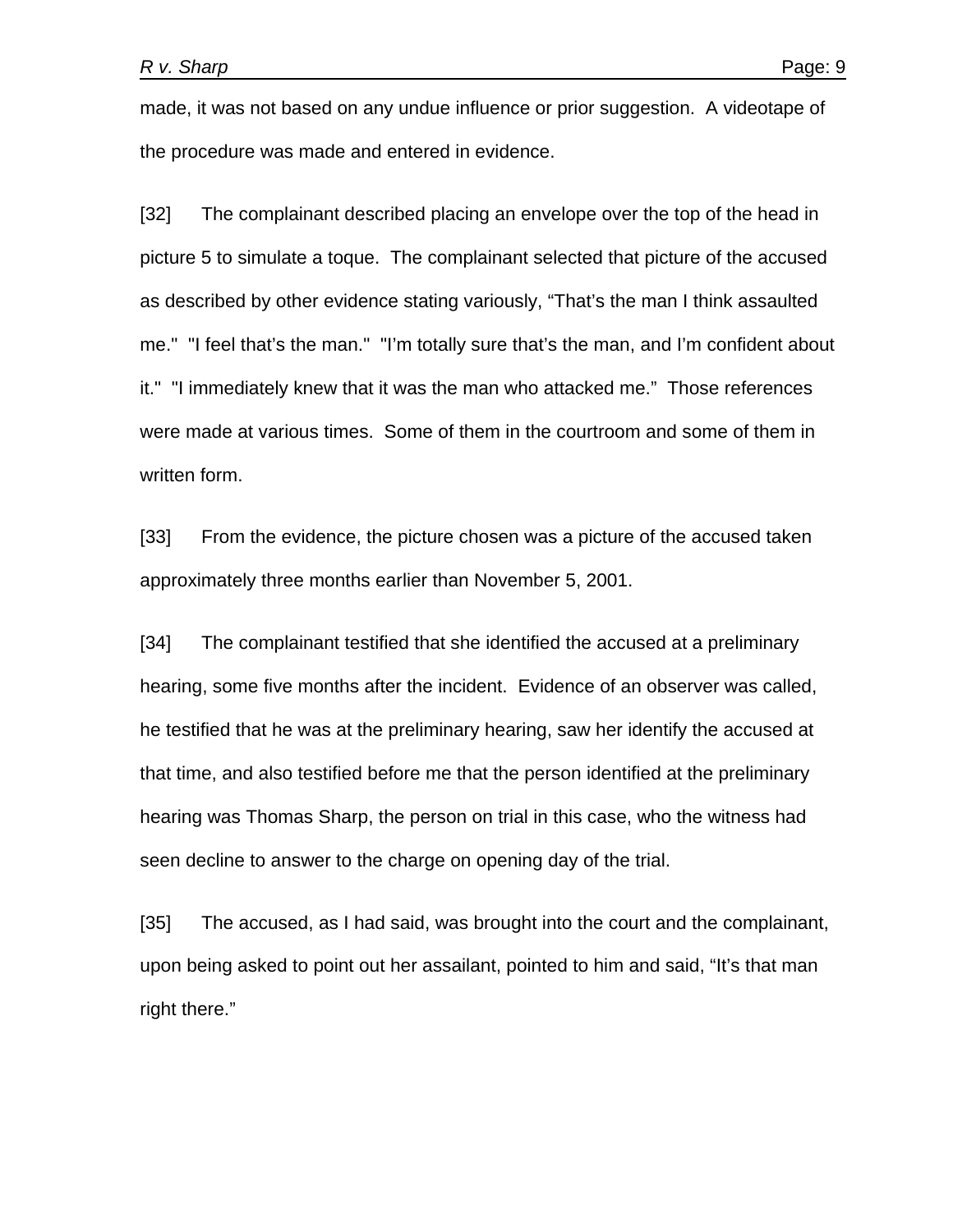made, it was not based on any undue influence or prior suggestion. A videotape of the procedure was made and entered in evidence.

[32] The complainant described placing an envelope over the top of the head in picture 5 to simulate a toque. The complainant selected that picture of the accused as described by other evidence stating variously, "That's the man I think assaulted me." "I feel that's the man." "I'm totally sure that's the man, and I'm confident about it." "I immediately knew that it was the man who attacked me." Those references were made at various times. Some of them in the courtroom and some of them in written form.

[33] From the evidence, the picture chosen was a picture of the accused taken approximately three months earlier than November 5, 2001.

[34] The complainant testified that she identified the accused at a preliminary hearing, some five months after the incident. Evidence of an observer was called, he testified that he was at the preliminary hearing, saw her identify the accused at that time, and also testified before me that the person identified at the preliminary hearing was Thomas Sharp, the person on trial in this case, who the witness had seen decline to answer to the charge on opening day of the trial.

[35] The accused, as I had said, was brought into the court and the complainant, upon being asked to point out her assailant, pointed to him and said, "It's that man right there."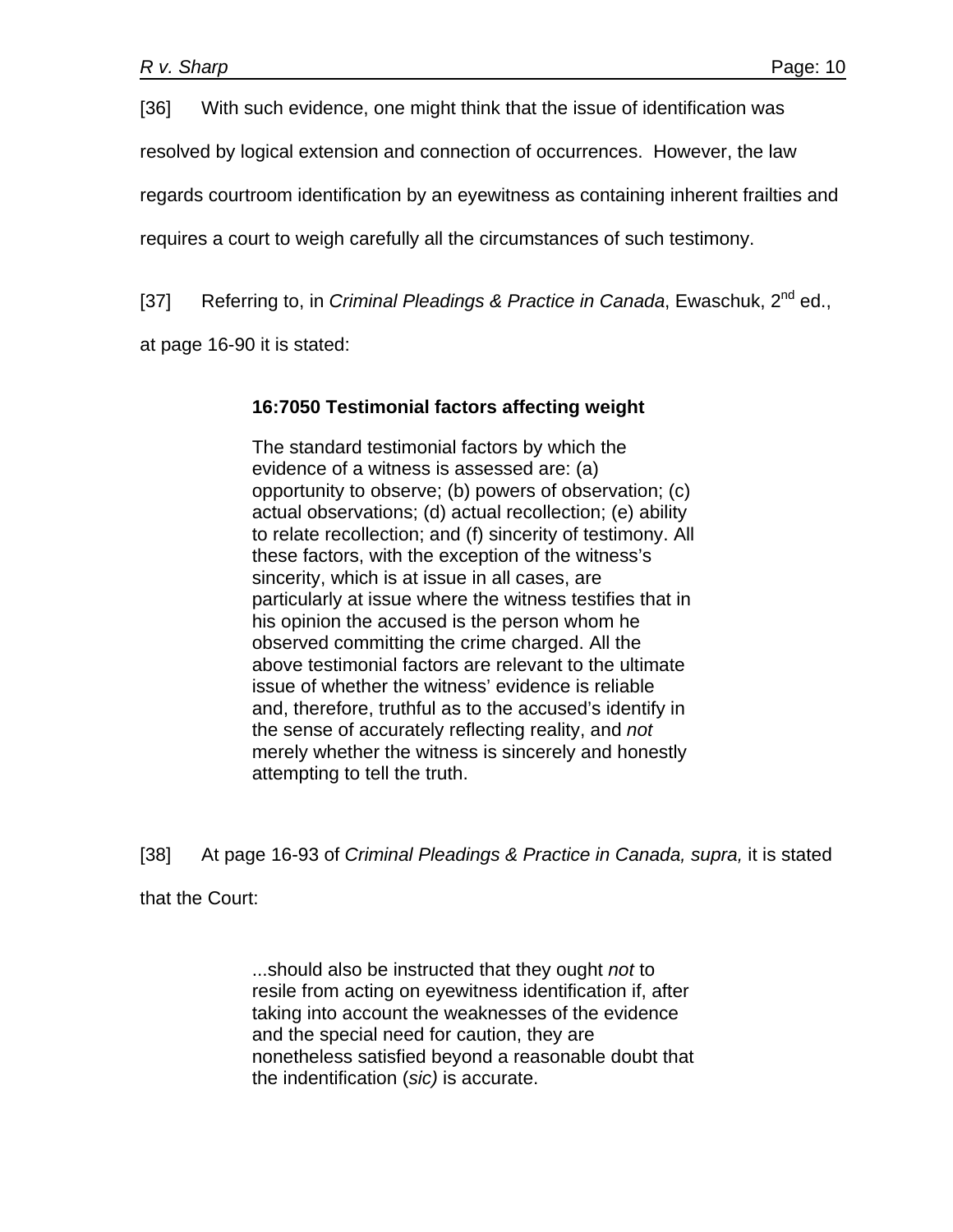[36] With such evidence, one might think that the issue of identification was

resolved by logical extension and connection of occurrences. However, the law

regards courtroom identification by an eyewitness as containing inherent frailties and

requires a court to weigh carefully all the circumstances of such testimony.

[37] Referring to, in *Criminal Pleadings & Practice in Canada*, Ewaschuk, 2<sup>nd</sup> ed.,

at page 16-90 it is stated:

## **16:7050 Testimonial factors affecting weight**

The standard testimonial factors by which the evidence of a witness is assessed are: (a) opportunity to observe; (b) powers of observation; (c) actual observations; (d) actual recollection; (e) ability to relate recollection; and (f) sincerity of testimony. All these factors, with the exception of the witness's sincerity, which is at issue in all cases, are particularly at issue where the witness testifies that in his opinion the accused is the person whom he observed committing the crime charged. All the above testimonial factors are relevant to the ultimate issue of whether the witness' evidence is reliable and, therefore, truthful as to the accused's identify in the sense of accurately reflecting reality, and *not* merely whether the witness is sincerely and honestly attempting to tell the truth.

[38] At page 16-93 of *Criminal Pleadings & Practice in Canada, supra,* it is stated

that the Court:

...should also be instructed that they ought *not* to resile from acting on eyewitness identification if, after taking into account the weaknesses of the evidence and the special need for caution, they are nonetheless satisfied beyond a reasonable doubt that the indentification (*sic)* is accurate.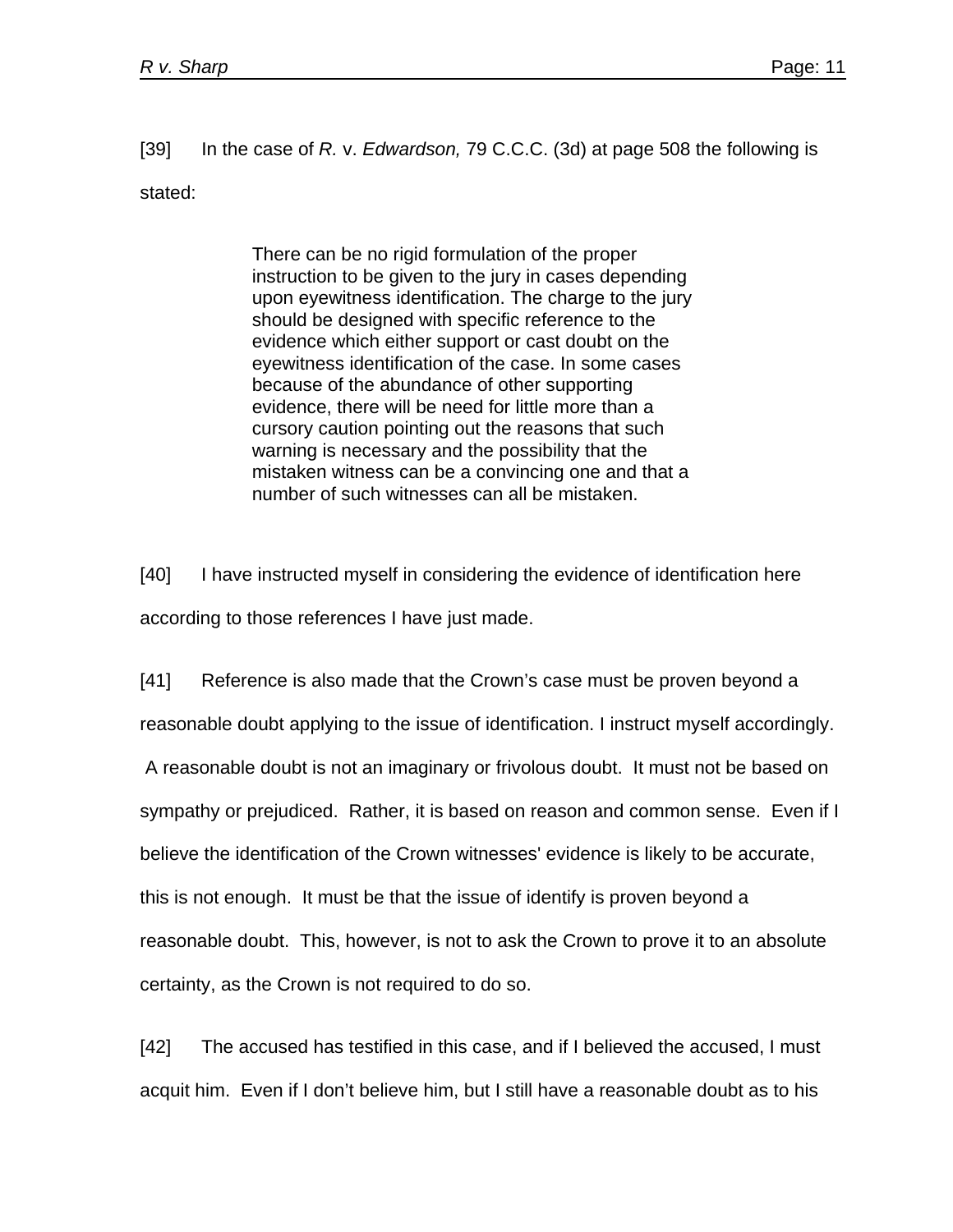[39] In the case of *R.* v. *Edwardson,* 79 C.C.C. (3d) at page 508 the following is stated:

> There can be no rigid formulation of the proper instruction to be given to the jury in cases depending upon eyewitness identification. The charge to the jury should be designed with specific reference to the evidence which either support or cast doubt on the eyewitness identification of the case. In some cases because of the abundance of other supporting evidence, there will be need for little more than a cursory caution pointing out the reasons that such warning is necessary and the possibility that the mistaken witness can be a convincing one and that a number of such witnesses can all be mistaken.

[40] I have instructed myself in considering the evidence of identification here according to those references I have just made.

[41] Reference is also made that the Crown's case must be proven beyond a reasonable doubt applying to the issue of identification. I instruct myself accordingly. A reasonable doubt is not an imaginary or frivolous doubt. It must not be based on sympathy or prejudiced. Rather, it is based on reason and common sense. Even if I believe the identification of the Crown witnesses' evidence is likely to be accurate, this is not enough. It must be that the issue of identify is proven beyond a reasonable doubt. This, however, is not to ask the Crown to prove it to an absolute certainty, as the Crown is not required to do so.

[42] The accused has testified in this case, and if I believed the accused, I must acquit him. Even if I don't believe him, but I still have a reasonable doubt as to his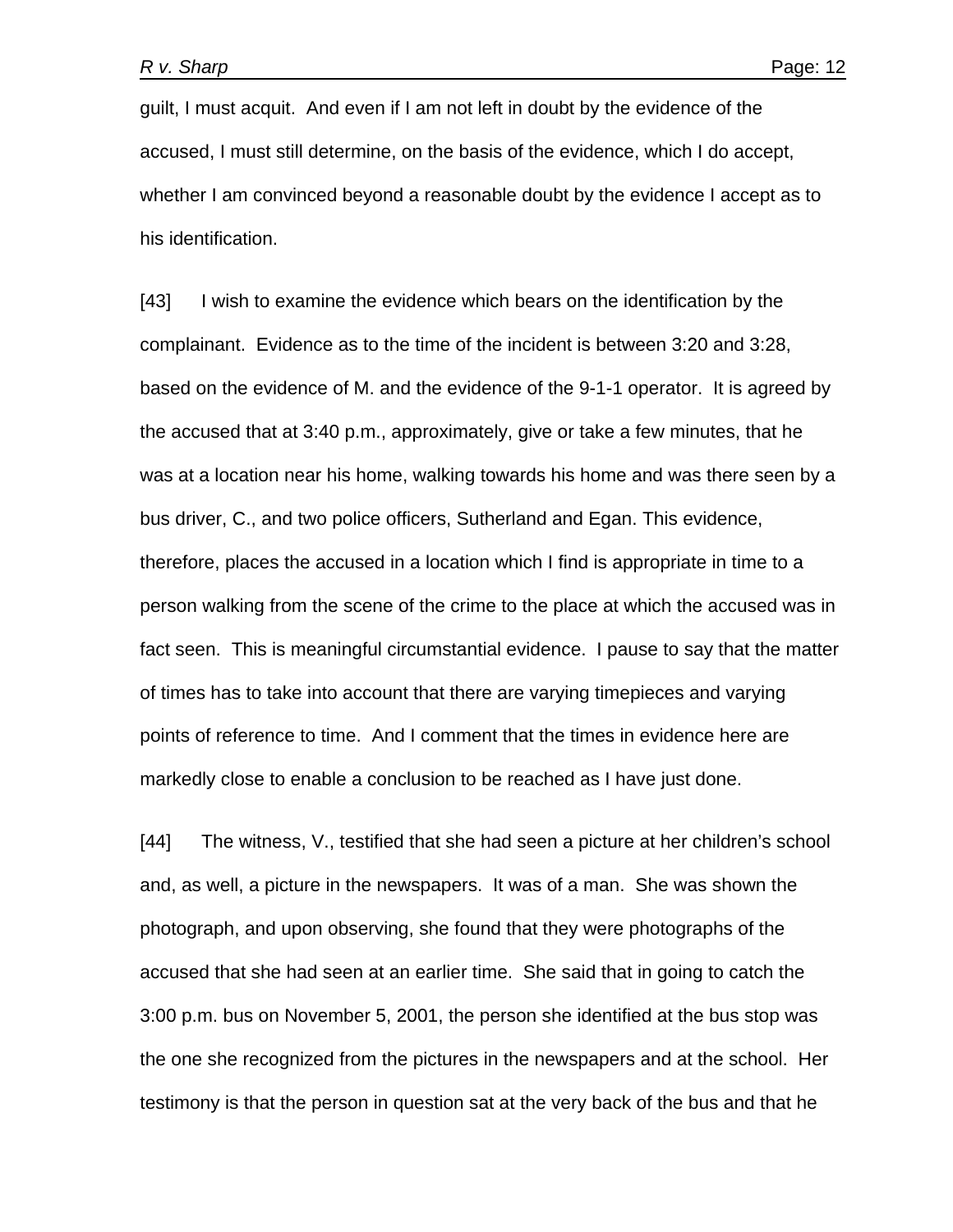guilt, I must acquit. And even if I am not left in doubt by the evidence of the accused, I must still determine, on the basis of the evidence, which I do accept, whether I am convinced beyond a reasonable doubt by the evidence I accept as to his identification.

[43] I wish to examine the evidence which bears on the identification by the complainant. Evidence as to the time of the incident is between 3:20 and 3:28, based on the evidence of M. and the evidence of the 9-1-1 operator. It is agreed by the accused that at 3:40 p.m., approximately, give or take a few minutes, that he was at a location near his home, walking towards his home and was there seen by a bus driver, C., and two police officers, Sutherland and Egan. This evidence, therefore, places the accused in a location which I find is appropriate in time to a person walking from the scene of the crime to the place at which the accused was in fact seen. This is meaningful circumstantial evidence. I pause to say that the matter of times has to take into account that there are varying timepieces and varying points of reference to time. And I comment that the times in evidence here are markedly close to enable a conclusion to be reached as I have just done.

[44] The witness, V., testified that she had seen a picture at her children's school and, as well, a picture in the newspapers. It was of a man. She was shown the photograph, and upon observing, she found that they were photographs of the accused that she had seen at an earlier time. She said that in going to catch the 3:00 p.m. bus on November 5, 2001, the person she identified at the bus stop was the one she recognized from the pictures in the newspapers and at the school. Her testimony is that the person in question sat at the very back of the bus and that he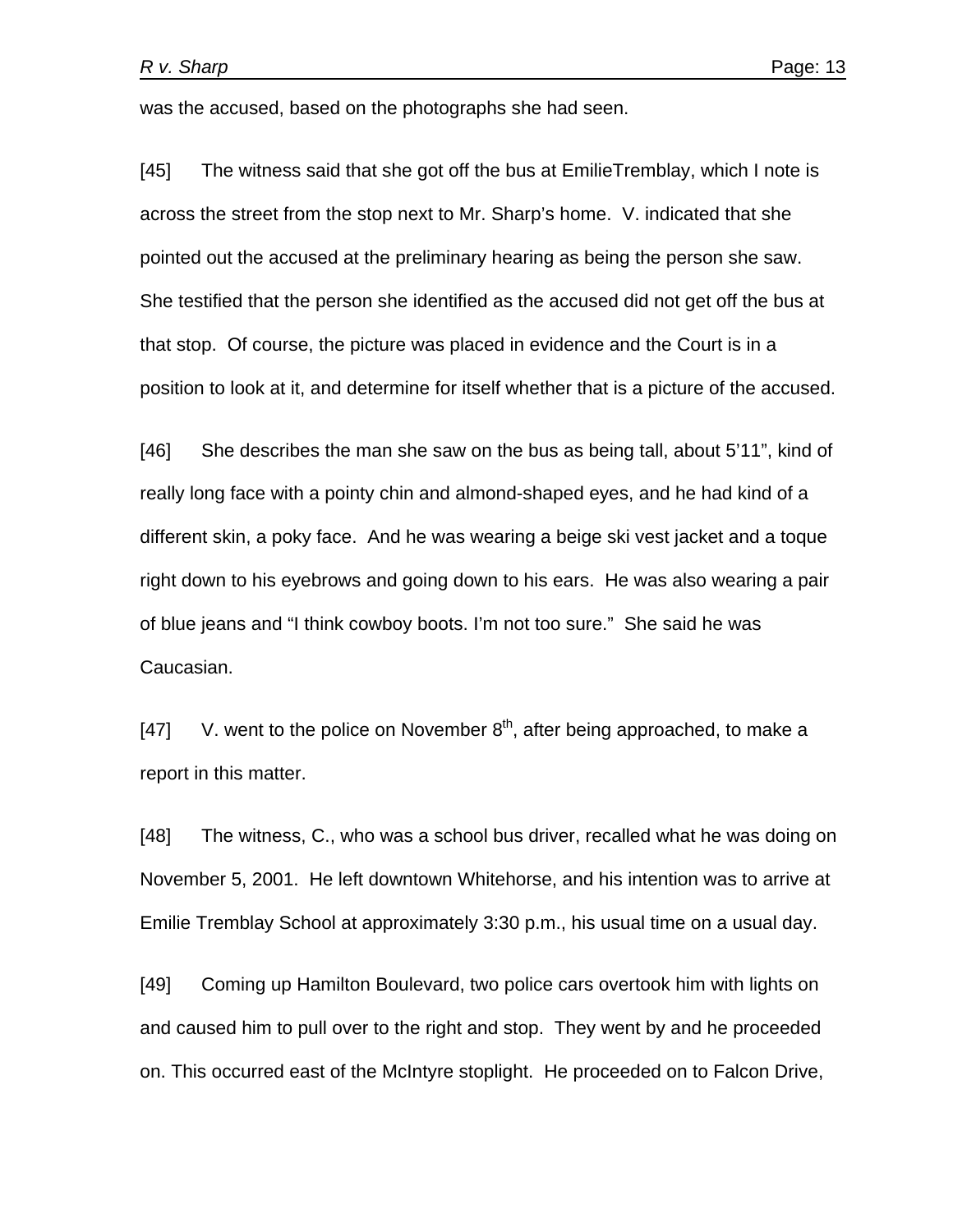was the accused, based on the photographs she had seen.

[45] The witness said that she got off the bus at EmilieTremblay, which I note is across the street from the stop next to Mr. Sharp's home. V. indicated that she pointed out the accused at the preliminary hearing as being the person she saw. She testified that the person she identified as the accused did not get off the bus at that stop. Of course, the picture was placed in evidence and the Court is in a position to look at it, and determine for itself whether that is a picture of the accused.

[46] She describes the man she saw on the bus as being tall, about 5'11", kind of really long face with a pointy chin and almond-shaped eyes, and he had kind of a different skin, a poky face. And he was wearing a beige ski vest jacket and a toque right down to his eyebrows and going down to his ears. He was also wearing a pair of blue jeans and "I think cowboy boots. I'm not too sure." She said he was Caucasian.

[47] V. went to the police on November  $8<sup>th</sup>$ , after being approached, to make a report in this matter.

[48] The witness, C., who was a school bus driver, recalled what he was doing on November 5, 2001. He left downtown Whitehorse, and his intention was to arrive at Emilie Tremblay School at approximately 3:30 p.m., his usual time on a usual day.

[49] Coming up Hamilton Boulevard, two police cars overtook him with lights on and caused him to pull over to the right and stop. They went by and he proceeded on. This occurred east of the McIntyre stoplight. He proceeded on to Falcon Drive,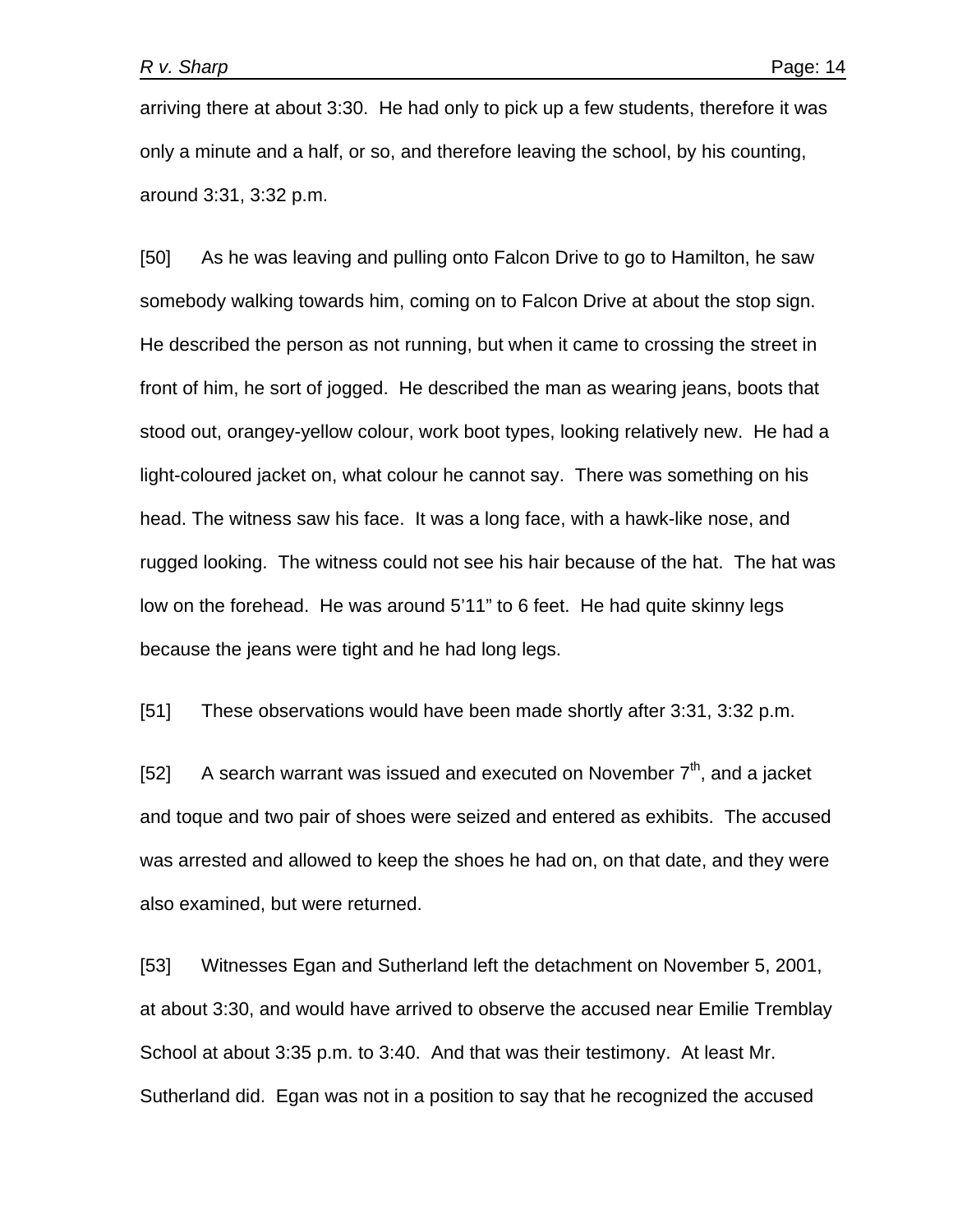arriving there at about 3:30. He had only to pick up a few students, therefore it was only a minute and a half, or so, and therefore leaving the school, by his counting, around 3:31, 3:32 p.m.

[50] As he was leaving and pulling onto Falcon Drive to go to Hamilton, he saw somebody walking towards him, coming on to Falcon Drive at about the stop sign. He described the person as not running, but when it came to crossing the street in front of him, he sort of jogged. He described the man as wearing jeans, boots that stood out, orangey-yellow colour, work boot types, looking relatively new. He had a light-coloured jacket on, what colour he cannot say. There was something on his head. The witness saw his face. It was a long face, with a hawk-like nose, and rugged looking. The witness could not see his hair because of the hat. The hat was low on the forehead. He was around 5'11" to 6 feet. He had quite skinny legs because the jeans were tight and he had long legs.

[51] These observations would have been made shortly after 3:31, 3:32 p.m.

[52] A search warrant was issued and executed on November  $7<sup>th</sup>$ , and a jacket and toque and two pair of shoes were seized and entered as exhibits. The accused was arrested and allowed to keep the shoes he had on, on that date, and they were also examined, but were returned.

[53] Witnesses Egan and Sutherland left the detachment on November 5, 2001, at about 3:30, and would have arrived to observe the accused near Emilie Tremblay School at about 3:35 p.m. to 3:40. And that was their testimony. At least Mr. Sutherland did. Egan was not in a position to say that he recognized the accused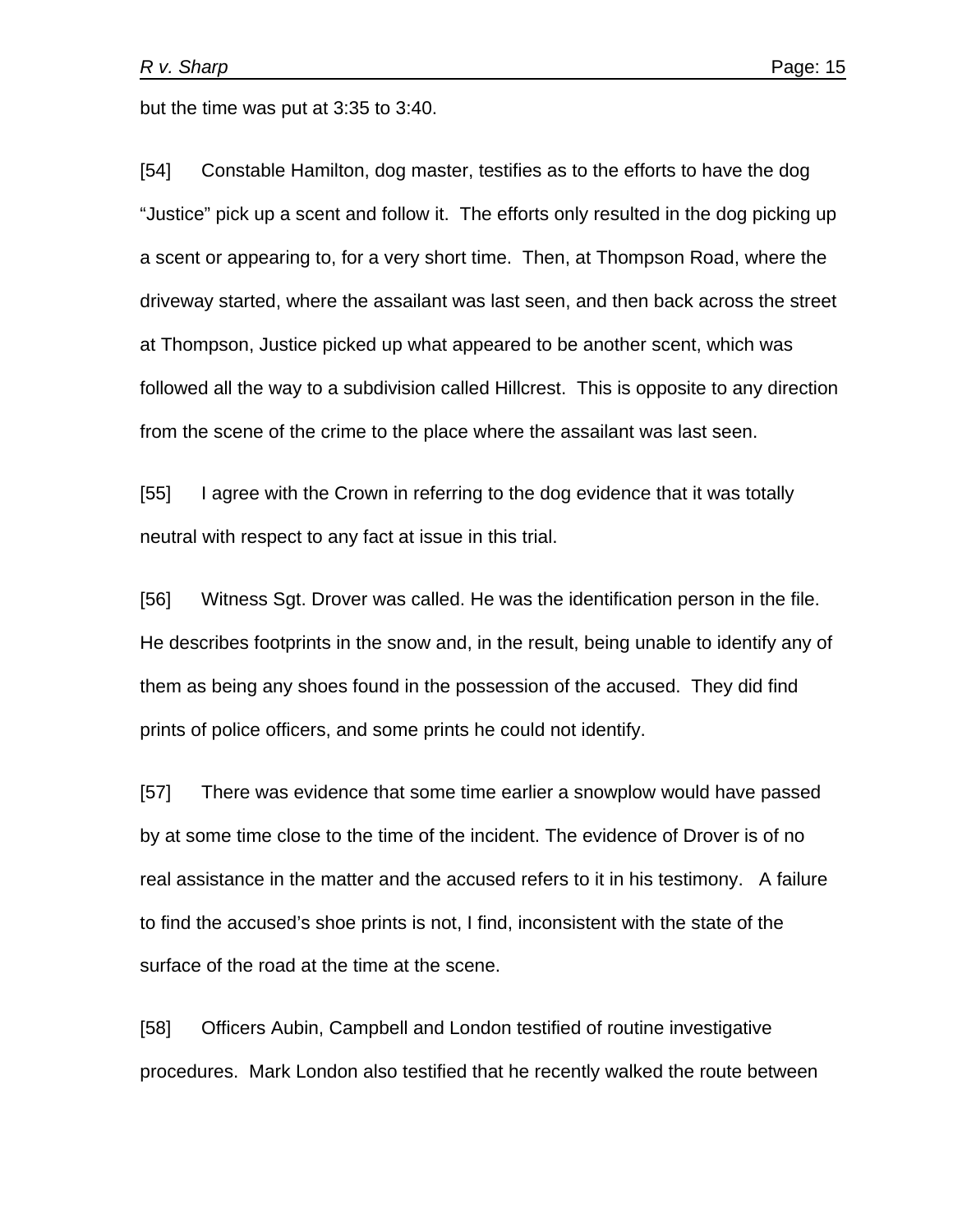but the time was put at 3:35 to 3:40.

[54] Constable Hamilton, dog master, testifies as to the efforts to have the dog "Justice" pick up a scent and follow it. The efforts only resulted in the dog picking up a scent or appearing to, for a very short time. Then, at Thompson Road, where the driveway started, where the assailant was last seen, and then back across the street at Thompson, Justice picked up what appeared to be another scent, which was followed all the way to a subdivision called Hillcrest. This is opposite to any direction from the scene of the crime to the place where the assailant was last seen.

[55] I agree with the Crown in referring to the dog evidence that it was totally neutral with respect to any fact at issue in this trial.

[56] Witness Sgt. Drover was called. He was the identification person in the file. He describes footprints in the snow and, in the result, being unable to identify any of them as being any shoes found in the possession of the accused. They did find prints of police officers, and some prints he could not identify.

[57] There was evidence that some time earlier a snowplow would have passed by at some time close to the time of the incident. The evidence of Drover is of no real assistance in the matter and the accused refers to it in his testimony. A failure to find the accused's shoe prints is not, I find, inconsistent with the state of the surface of the road at the time at the scene.

[58] Officers Aubin, Campbell and London testified of routine investigative procedures. Mark London also testified that he recently walked the route between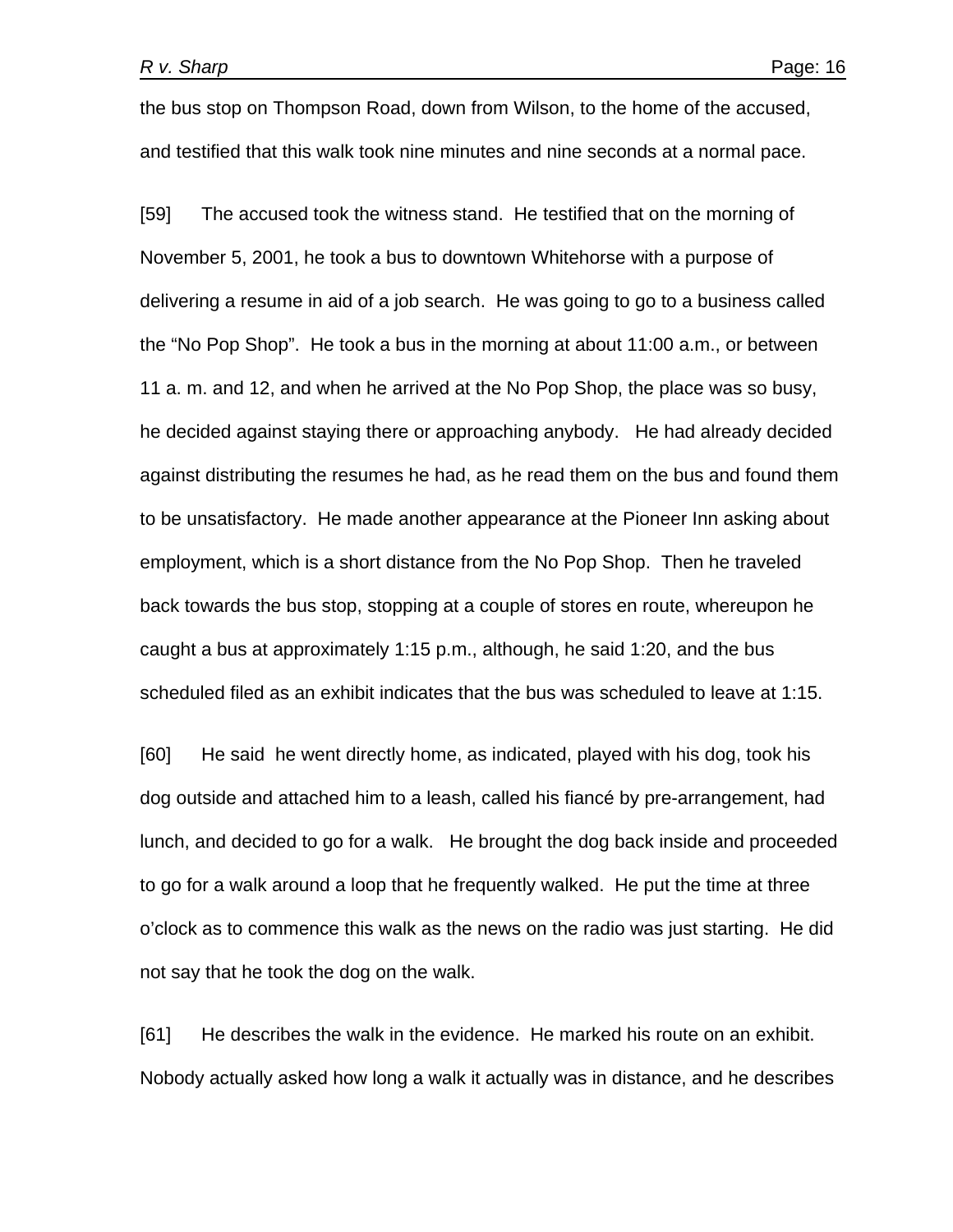the bus stop on Thompson Road, down from Wilson, to the home of the accused, and testified that this walk took nine minutes and nine seconds at a normal pace.

[59] The accused took the witness stand. He testified that on the morning of November 5, 2001, he took a bus to downtown Whitehorse with a purpose of delivering a resume in aid of a job search. He was going to go to a business called the "No Pop Shop". He took a bus in the morning at about 11:00 a.m., or between 11 a. m. and 12, and when he arrived at the No Pop Shop, the place was so busy, he decided against staying there or approaching anybody. He had already decided against distributing the resumes he had, as he read them on the bus and found them to be unsatisfactory. He made another appearance at the Pioneer Inn asking about employment, which is a short distance from the No Pop Shop. Then he traveled back towards the bus stop, stopping at a couple of stores en route, whereupon he caught a bus at approximately 1:15 p.m., although, he said 1:20, and the bus scheduled filed as an exhibit indicates that the bus was scheduled to leave at 1:15.

[60] He said he went directly home, as indicated, played with his dog, took his dog outside and attached him to a leash, called his fiancé by pre-arrangement, had lunch, and decided to go for a walk. He brought the dog back inside and proceeded to go for a walk around a loop that he frequently walked. He put the time at three o'clock as to commence this walk as the news on the radio was just starting. He did not say that he took the dog on the walk.

[61] He describes the walk in the evidence. He marked his route on an exhibit. Nobody actually asked how long a walk it actually was in distance, and he describes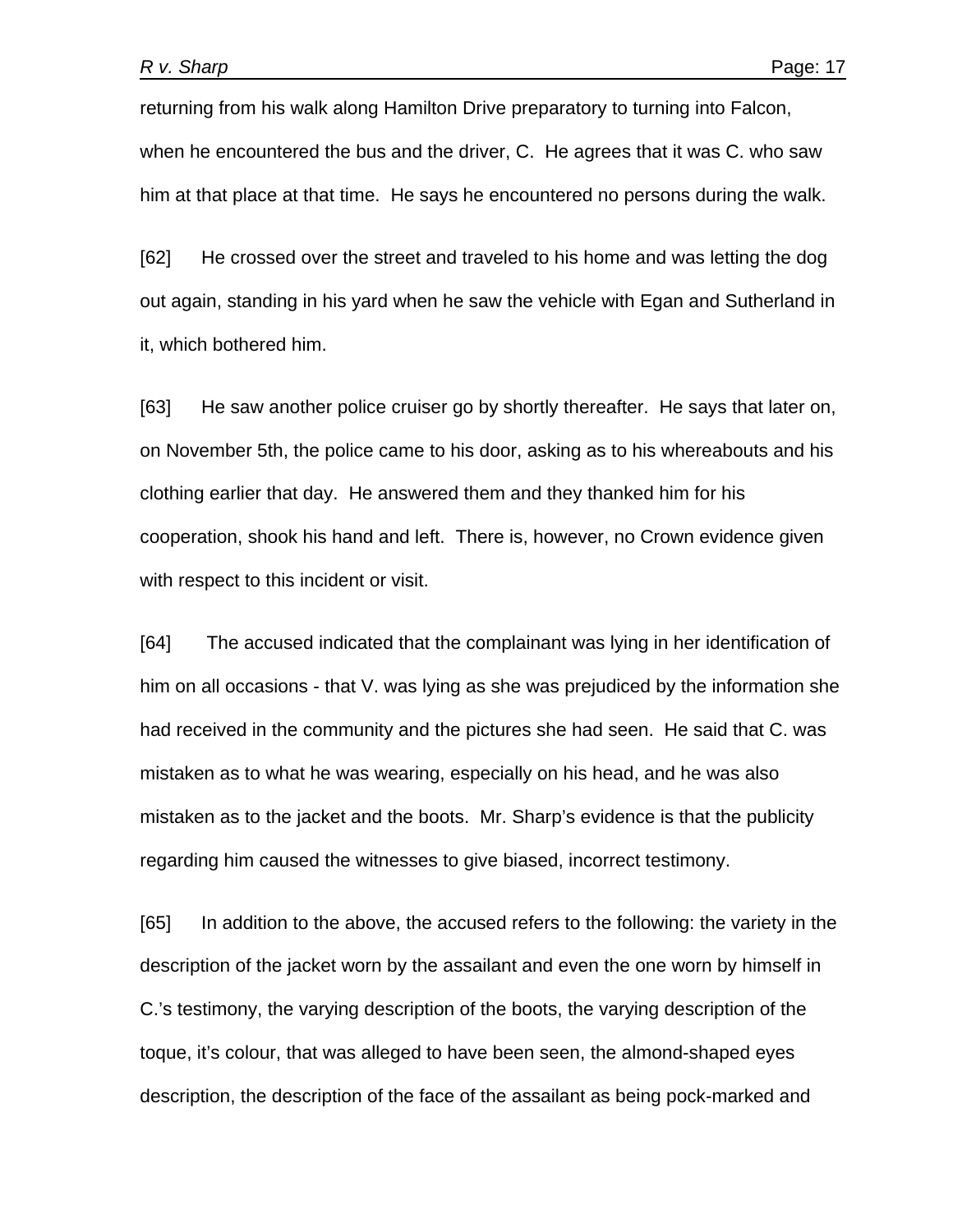returning from his walk along Hamilton Drive preparatory to turning into Falcon, when he encountered the bus and the driver, C. He agrees that it was C. who saw him at that place at that time. He says he encountered no persons during the walk.

[62] He crossed over the street and traveled to his home and was letting the dog out again, standing in his yard when he saw the vehicle with Egan and Sutherland in it, which bothered him.

[63] He saw another police cruiser go by shortly thereafter. He says that later on, on November 5th, the police came to his door, asking as to his whereabouts and his clothing earlier that day. He answered them and they thanked him for his cooperation, shook his hand and left. There is, however, no Crown evidence given with respect to this incident or visit.

[64] The accused indicated that the complainant was lying in her identification of him on all occasions - that V. was lying as she was prejudiced by the information she had received in the community and the pictures she had seen. He said that C. was mistaken as to what he was wearing, especially on his head, and he was also mistaken as to the jacket and the boots. Mr. Sharp's evidence is that the publicity regarding him caused the witnesses to give biased, incorrect testimony.

[65] In addition to the above, the accused refers to the following: the variety in the description of the jacket worn by the assailant and even the one worn by himself in C.'s testimony, the varying description of the boots, the varying description of the toque, it's colour, that was alleged to have been seen, the almond-shaped eyes description, the description of the face of the assailant as being pock-marked and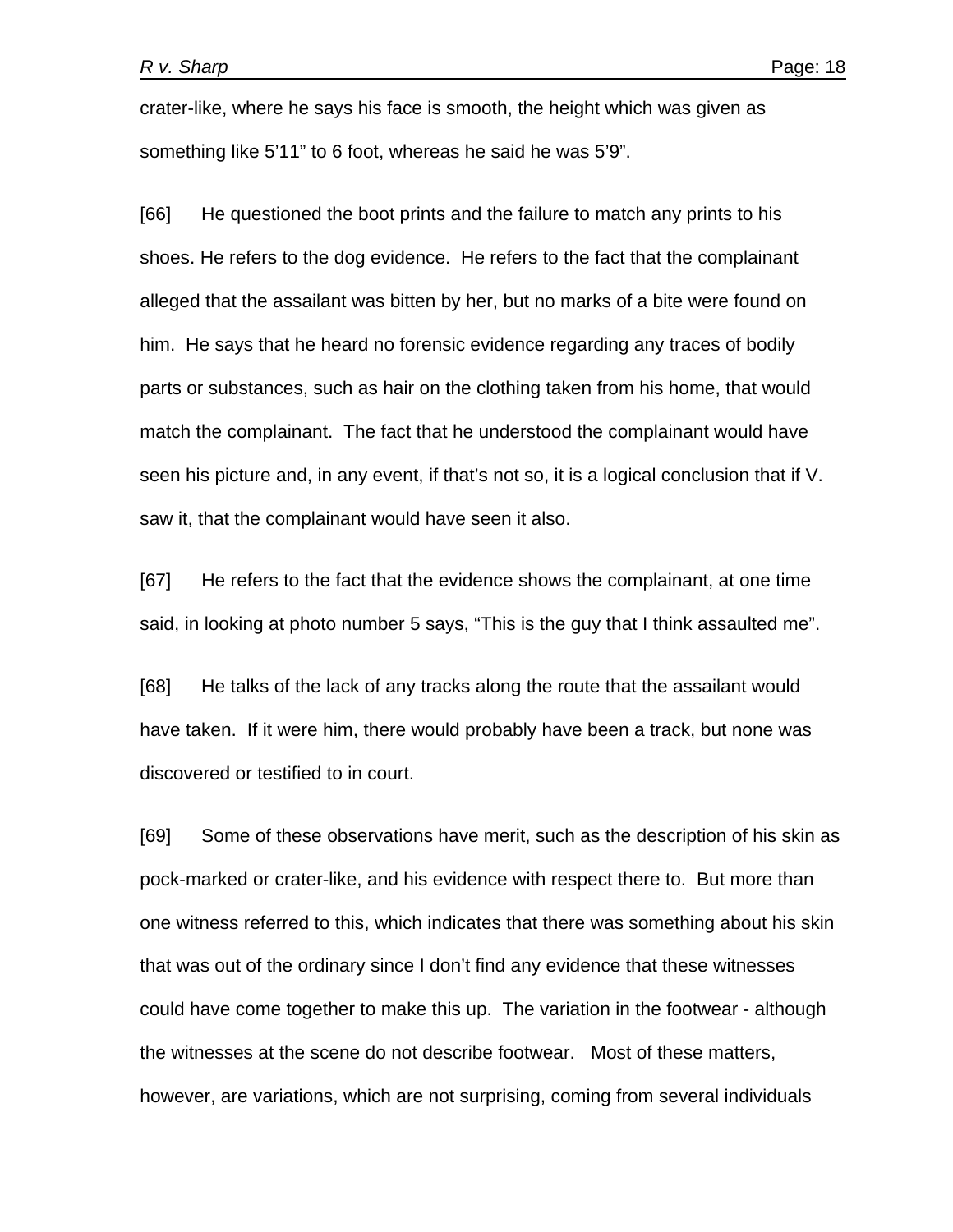crater-like, where he says his face is smooth, the height which was given as something like 5'11" to 6 foot, whereas he said he was 5'9".

[66] He questioned the boot prints and the failure to match any prints to his shoes. He refers to the dog evidence. He refers to the fact that the complainant alleged that the assailant was bitten by her, but no marks of a bite were found on him. He says that he heard no forensic evidence regarding any traces of bodily parts or substances, such as hair on the clothing taken from his home, that would match the complainant. The fact that he understood the complainant would have seen his picture and, in any event, if that's not so, it is a logical conclusion that if V. saw it, that the complainant would have seen it also.

[67] He refers to the fact that the evidence shows the complainant, at one time said, in looking at photo number 5 says, "This is the guy that I think assaulted me".

[68] He talks of the lack of any tracks along the route that the assailant would have taken. If it were him, there would probably have been a track, but none was discovered or testified to in court.

[69] Some of these observations have merit, such as the description of his skin as pock-marked or crater-like, and his evidence with respect there to. But more than one witness referred to this, which indicates that there was something about his skin that was out of the ordinary since I don't find any evidence that these witnesses could have come together to make this up. The variation in the footwear - although the witnesses at the scene do not describe footwear. Most of these matters, however, are variations, which are not surprising, coming from several individuals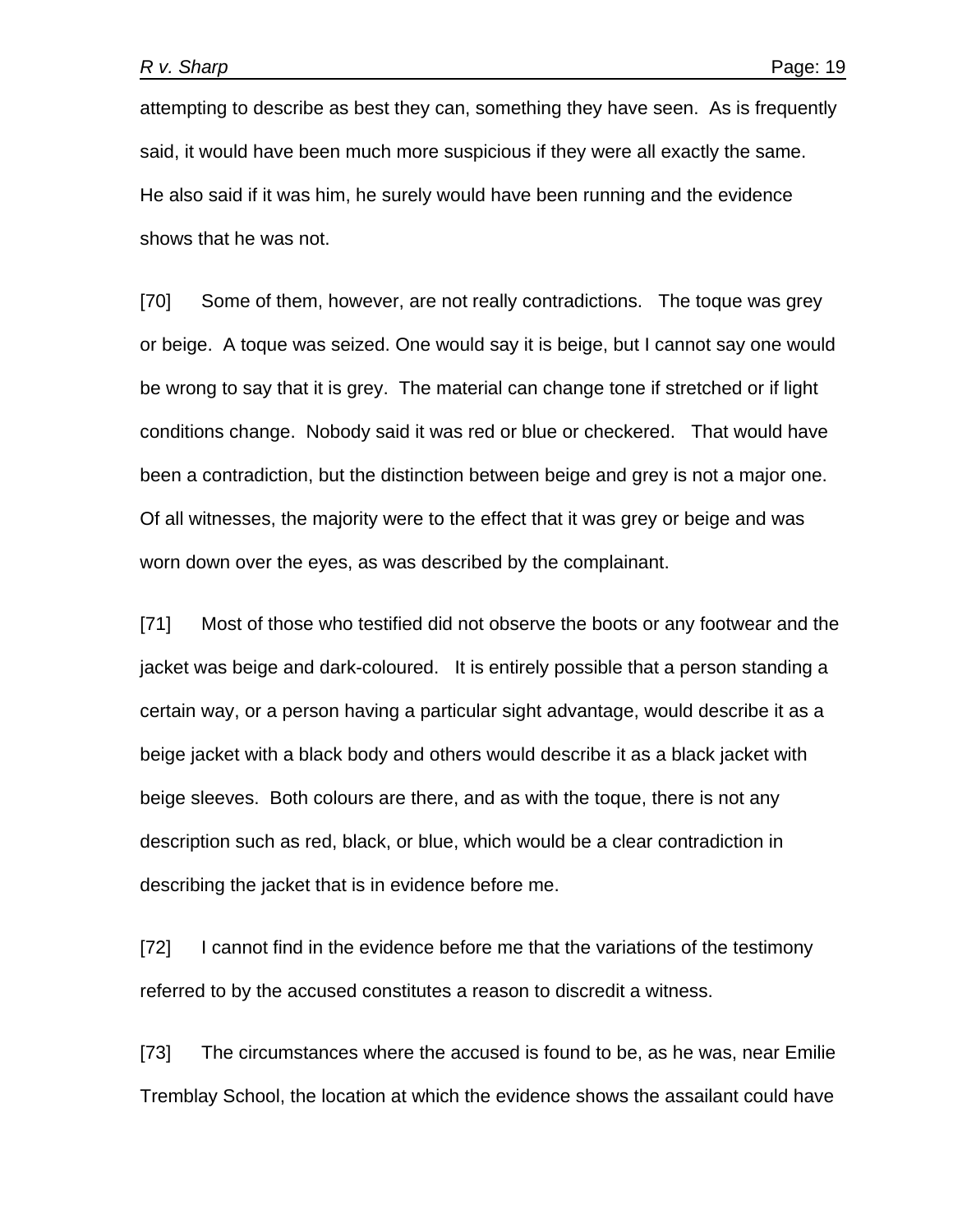attempting to describe as best they can, something they have seen. As is frequently said, it would have been much more suspicious if they were all exactly the same. He also said if it was him, he surely would have been running and the evidence shows that he was not.

[70] Some of them, however, are not really contradictions. The toque was grey or beige. A toque was seized. One would say it is beige, but I cannot say one would be wrong to say that it is grey. The material can change tone if stretched or if light conditions change. Nobody said it was red or blue or checkered. That would have been a contradiction, but the distinction between beige and grey is not a major one. Of all witnesses, the majority were to the effect that it was grey or beige and was worn down over the eyes, as was described by the complainant.

[71] Most of those who testified did not observe the boots or any footwear and the jacket was beige and dark-coloured. It is entirely possible that a person standing a certain way, or a person having a particular sight advantage, would describe it as a beige jacket with a black body and others would describe it as a black jacket with beige sleeves. Both colours are there, and as with the toque, there is not any description such as red, black, or blue, which would be a clear contradiction in describing the jacket that is in evidence before me.

[72] I cannot find in the evidence before me that the variations of the testimony referred to by the accused constitutes a reason to discredit a witness.

[73] The circumstances where the accused is found to be, as he was, near Emilie Tremblay School, the location at which the evidence shows the assailant could have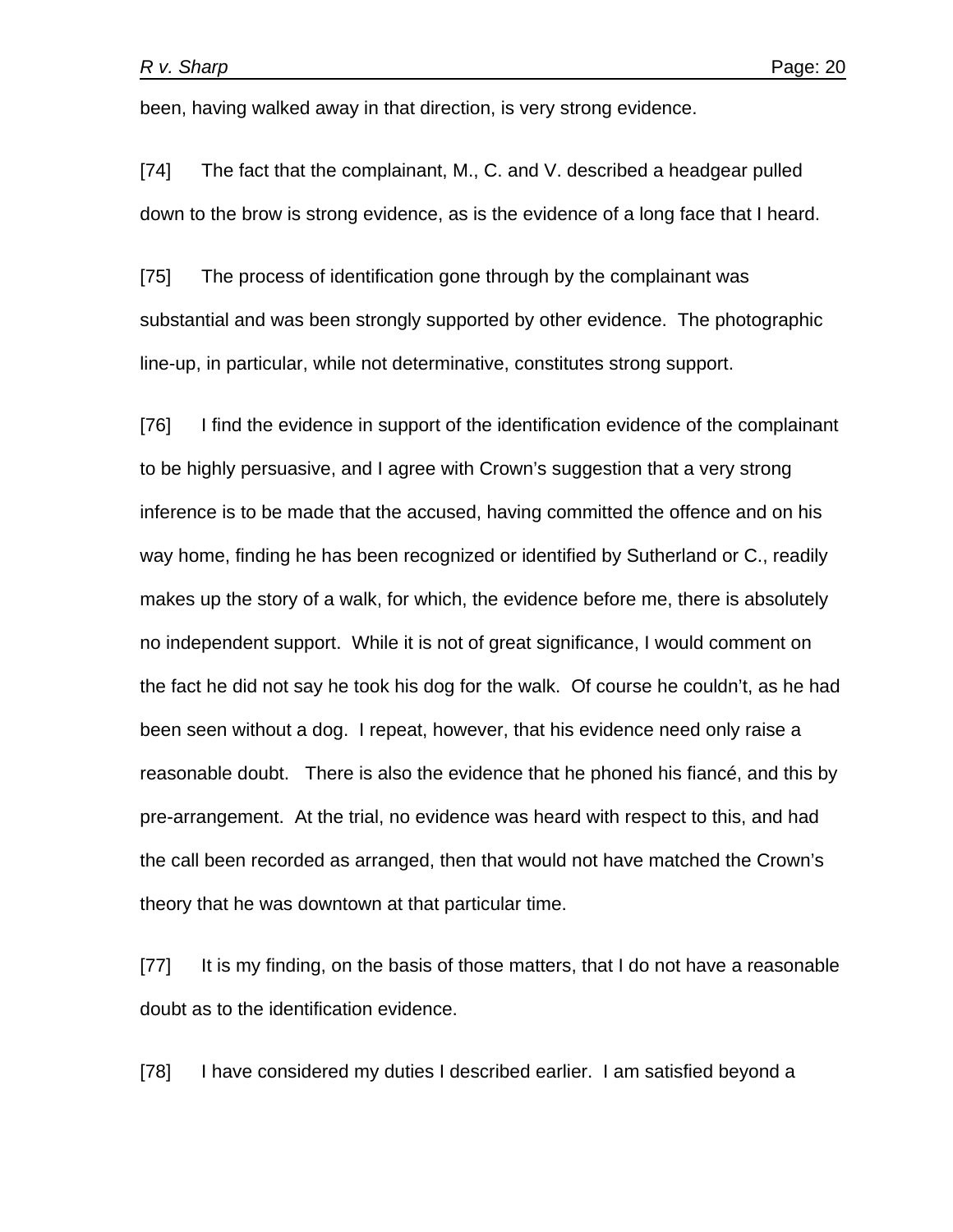been, having walked away in that direction, is very strong evidence.

[74] The fact that the complainant, M., C. and V. described a headgear pulled down to the brow is strong evidence, as is the evidence of a long face that I heard.

[75] The process of identification gone through by the complainant was substantial and was been strongly supported by other evidence. The photographic line-up, in particular, while not determinative, constitutes strong support.

[76] I find the evidence in support of the identification evidence of the complainant to be highly persuasive, and I agree with Crown's suggestion that a very strong inference is to be made that the accused, having committed the offence and on his way home, finding he has been recognized or identified by Sutherland or C., readily makes up the story of a walk, for which, the evidence before me, there is absolutely no independent support. While it is not of great significance, I would comment on the fact he did not say he took his dog for the walk. Of course he couldn't, as he had been seen without a dog. I repeat, however, that his evidence need only raise a reasonable doubt. There is also the evidence that he phoned his fiancé, and this by pre-arrangement. At the trial, no evidence was heard with respect to this, and had the call been recorded as arranged, then that would not have matched the Crown's theory that he was downtown at that particular time.

[77] It is my finding, on the basis of those matters, that I do not have a reasonable doubt as to the identification evidence.

[78] I have considered my duties I described earlier. I am satisfied beyond a